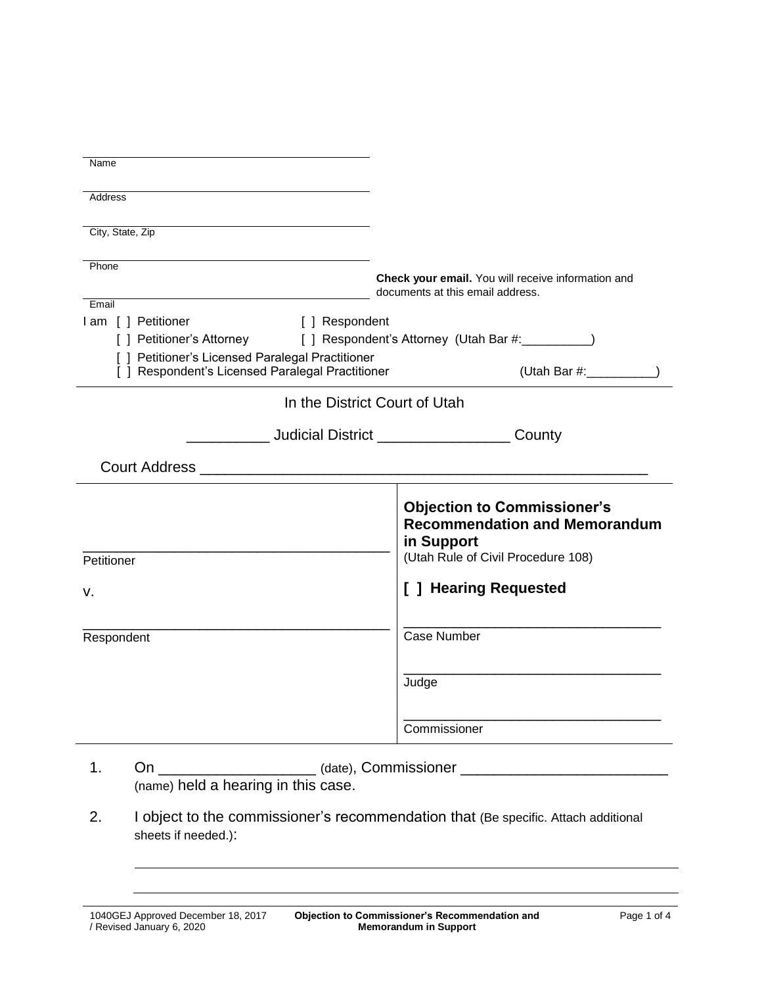| Name                                                                                                           |                                                                                                                                |  |
|----------------------------------------------------------------------------------------------------------------|--------------------------------------------------------------------------------------------------------------------------------|--|
|                                                                                                                |                                                                                                                                |  |
| Address                                                                                                        |                                                                                                                                |  |
|                                                                                                                |                                                                                                                                |  |
| City, State, Zip                                                                                               |                                                                                                                                |  |
|                                                                                                                |                                                                                                                                |  |
| Phone                                                                                                          | Check your email. You will receive information and                                                                             |  |
|                                                                                                                | documents at this email address.                                                                                               |  |
| Email                                                                                                          |                                                                                                                                |  |
| I am [ ] Petitioner<br>[ ] Respondent                                                                          |                                                                                                                                |  |
| [ ] Petitioner's Attorney                                                                                      | [ ] Respondent's Attorney (Utah Bar #: \\espondent's Attorney (Utah Bar #: \\espondent)                                        |  |
| [ ] Petitioner's Licensed Paralegal Practitioner                                                               |                                                                                                                                |  |
| [ ] Respondent's Licensed Paralegal Practitioner                                                               |                                                                                                                                |  |
| In the District Court of Utah                                                                                  |                                                                                                                                |  |
| Letter Letter Letter Letter Letter Letter Letter Letter Letter Letter Letter Letter Letter Letter Letter Lette |                                                                                                                                |  |
|                                                                                                                |                                                                                                                                |  |
| Petitioner                                                                                                     | <b>Objection to Commissioner's</b><br><b>Recommendation and Memorandum</b><br>in Support<br>(Utah Rule of Civil Procedure 108) |  |
|                                                                                                                |                                                                                                                                |  |
| v.                                                                                                             | [ ] Hearing Requested                                                                                                          |  |
|                                                                                                                |                                                                                                                                |  |
| Respondent                                                                                                     | Case Number                                                                                                                    |  |
|                                                                                                                |                                                                                                                                |  |
|                                                                                                                |                                                                                                                                |  |
|                                                                                                                | Judge                                                                                                                          |  |
|                                                                                                                |                                                                                                                                |  |
|                                                                                                                | Commissioner                                                                                                                   |  |
|                                                                                                                |                                                                                                                                |  |

- 1. On \_\_\_\_\_\_\_\_\_\_\_\_\_\_\_\_\_\_\_\_\_\_(date), Commissioner \_\_\_\_\_\_\_\_\_\_\_\_\_\_\_\_\_\_\_\_\_\_\_\_\_\_\_\_\_\_\_ (name) held a hearing in this case.
- 2. I object to the commissioner's recommendation that (Be specific. Attach additional sheets if needed.):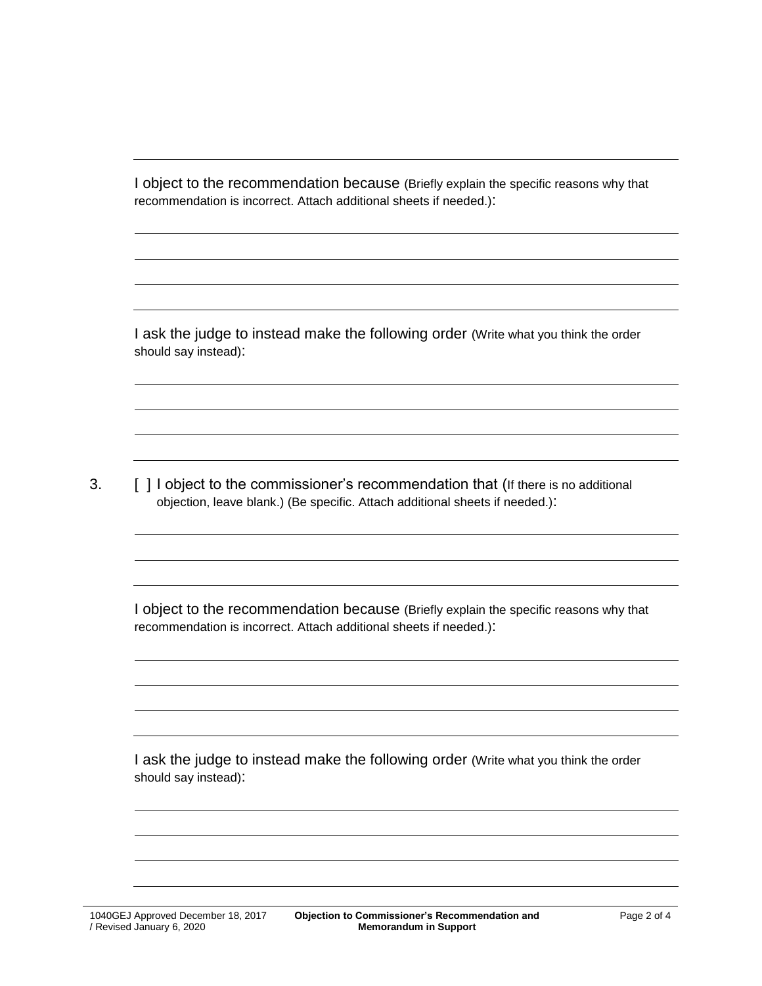I object to the recommendation because (Briefly explain the specific reasons why that recommendation is incorrect. Attach additional sheets if needed.):

I ask the judge to instead make the following order (Write what you think the order should say instead):

3. [ ] I object to the commissioner's recommendation that (If there is no additional objection, leave blank.) (Be specific. Attach additional sheets if needed.):

I object to the recommendation because (Briefly explain the specific reasons why that recommendation is incorrect. Attach additional sheets if needed.):

I ask the judge to instead make the following order (Write what you think the order should say instead):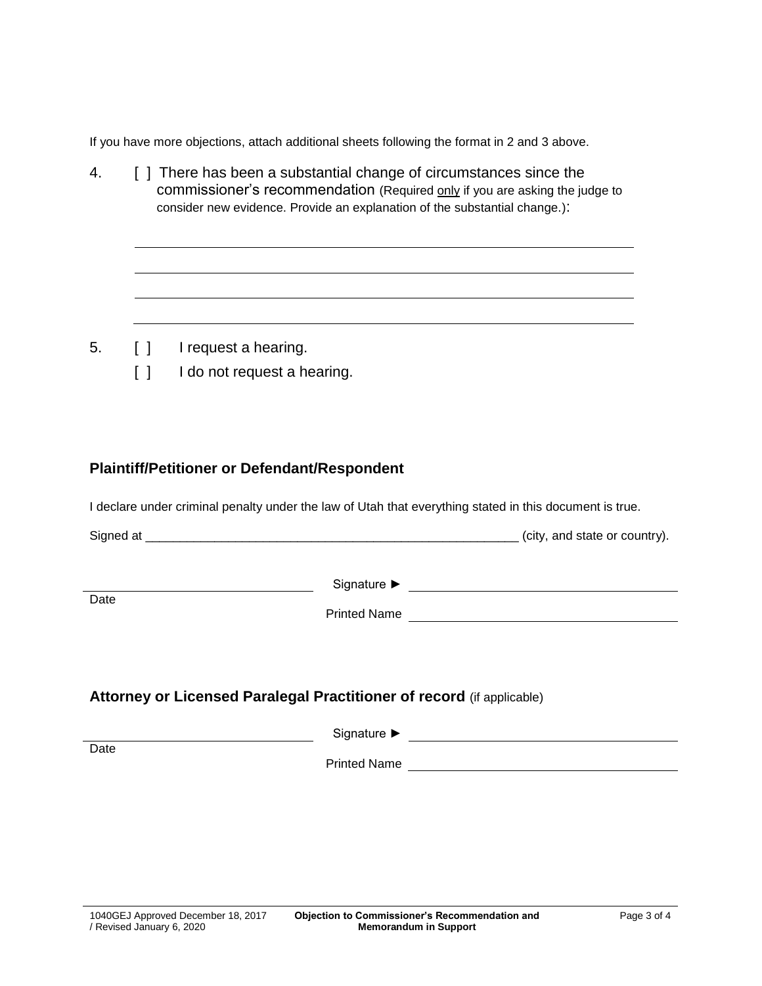If you have more objections, attach additional sheets following the format in 2 and 3 above.

4. [ ] There has been a substantial change of circumstances since the commissioner's recommendation (Required only if you are asking the judge to consider new evidence. Provide an explanation of the substantial change.):

- 5. [ ] I request a hearing.
	- [ ] I do not request a hearing.

## **Plaintiff/Petitioner or Defendant/Respondent**

I declare under criminal penalty under the law of Utah that everything stated in this document is true.

| Signed at |  | (city, and state or country). |  |
|-----------|--|-------------------------------|--|
|-----------|--|-------------------------------|--|

Date<sub></sub>

Signature ► Signature ► Signature ► Signature ► Signature → Signature → Signature → Signature → Signature → Signature → Signature → Signature → Signature → Signature → Signature → Signature → Signature → Signature → Signa

Printed Name

## **Attorney or Licensed Paralegal Practitioner of record** (if applicable)

|      | Signature $\blacktriangleright$ |
|------|---------------------------------|
| Date | <b>Printed Name</b>             |